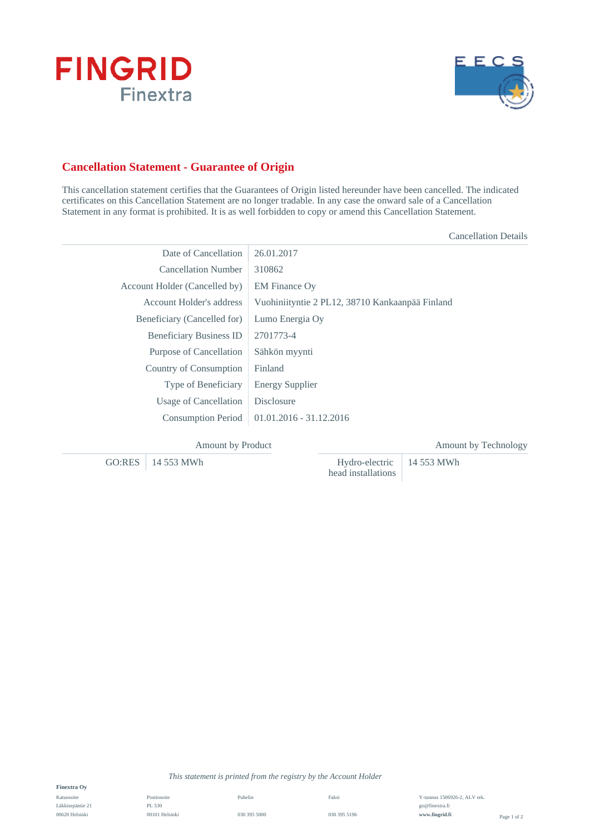



## **Cancellation Statement - Guarantee of Origin**

This cancellation statement certifies that the Guarantees of Origin listed hereunder have been cancelled. The indicated certificates on this Cancellation Statement are no longer tradable. In any case the onward sale of a Cancellation Statement in any format is prohibited. It is as well forbidden to copy or amend this Cancellation Statement.

|                                | <b>Cancellation Details</b>                     |
|--------------------------------|-------------------------------------------------|
| Date of Cancellation           | 26.01.2017                                      |
| <b>Cancellation Number</b>     | 310862                                          |
| Account Holder (Cancelled by)  | <b>EM Finance Ov</b>                            |
| Account Holder's address       | Vuohiniityntie 2 PL12, 38710 Kankaanpää Finland |
| Beneficiary (Cancelled for)    | Lumo Energia Oy                                 |
| <b>Beneficiary Business ID</b> | 2701773-4                                       |
| Purpose of Cancellation        | Sähkön myynti                                   |
| Country of Consumption         | Finland                                         |
| Type of Beneficiary            | <b>Energy Supplier</b>                          |
| Usage of Cancellation          | Disclosure                                      |
| <b>Consumption Period</b>      | $01.01.2016 - 31.12.2016$                       |
|                                |                                                 |

| <b>Amount by Product</b> |                                                         | Amount by Technology |
|--------------------------|---------------------------------------------------------|----------------------|
| $GO:RES$   14 553 MWh    | Hydro-electric $\vert$ 14 553 MWh<br>head installations |                      |

**Finextra Oy**

Katuosoite Läkkisepäntie 21 00620 Helsinki

Postiosoite PL 530 00101 Helsinki Puhelin 030 395 5000

*This statement is printed from the registry by the Account Holder*

Faksi 030 395 5196 Y-tunnus 1506926-2, ALV rek. go@finextra.fi **www.fingrid.fi**